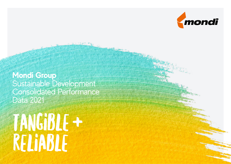

**Mondi Group**  Sustainable Development Consolidated Performance Data 2021

# Tangible + Reliable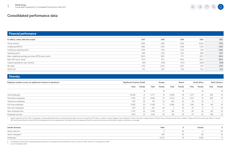#### **Financial performance**

| € millions, unless otherwise stated                    | 2017  | 2018  | 2019  | 2020  | 2021  |
|--------------------------------------------------------|-------|-------|-------|-------|-------|
| Group revenue                                          | 7,096 | 7,481 | 7,268 | 6,663 | 7,723 |
| Underlying EBITDA                                      | 1,482 | 1,764 | 1,658 | 1,353 | 1,503 |
| Underlying operating profit                            | 1,029 | 1,318 | 1,223 | 925   | 1,064 |
| Operating profit                                       | 968   | 1,192 | 1,221 | 868   | 1,071 |
| Basic underlying earnings per share (EPS) (euro cents) | 148.9 | 189.1 | 171.1 | 129.3 | 154.0 |
| Basic EPS (euro cents)                                 | 137.9 | 170.1 | 167.6 | 120.0 | 155.9 |
| Capital expenditure cash outflows                      | (611) | (709) | (757) | (630) | (573) |
| Net debt                                               | 1,532 | 2,220 | 2,207 | 1,791 | 1,763 |
| ROCE (%)                                               | 19.3  | 23.6  | 19.8  | 15.2  | 16.9  |
|                                                        |       |       |       |       |       |

 $\rightarrow$ 

 $\mathbb{Z}$ 

#### **Diversity**

| Employee numbers across our significant locations of operations <sup>1</sup> | Significant locations (total) |        | Europe |        |       | Russia | South Africa |        | <b>North America</b> |          |
|------------------------------------------------------------------------------|-------------------------------|--------|--------|--------|-------|--------|--------------|--------|----------------------|----------|
|                                                                              | Total                         | Female | Total  | Female | Total | Female | Total        | Female | Total                | Female   |
|                                                                              |                               | %      |        | ℅      |       | ℅      |              | $\%$   |                      | ℅        |
| Total employees                                                              | 18,458                        | 21     | 11,777 | 19     | 4,588 | 26     | 1,237        | 20     | 856                  | 16       |
| Permanent employees                                                          | 17,351                        | 20     | 11,058 | 19     | 4,234 | 25     | 1,203        | 19     | 856                  | 16       |
| Temporary employees                                                          | 1,107                         | 26     | 719    | 23     | 354   | 30     | 34           | 32     |                      | $\Omega$ |
| Full-time employees                                                          | 17,955                        | 20     | 11,324 | 17     | 4,586 | 25     | 1,194        | 20     | 851                  | 16       |
| Part-time employees                                                          | 503                           | 60     | 453    | 66     |       | 50     | 43           | 12     |                      | 20       |
| New employee hires                                                           | 2,210                         | 26     | 1,448  | 27     | 481   | 23     | 89           | 28     | 192                  | 22       |
| Employee turnover                                                            | 1,675                         | 23     | 1,034  | 20     | 318   | 29     | 117          | 26     | 206                  | 23       |

1 Figures represent almost 70% of employees, including plants/mills with a combined annual sales turnover of more than €70 million, located in Austria, Bulgaria, Czech Republic, Finland, Germany, Hungary, Mexico, Poland, R (UK) and Vienna (Austria). Around 30% of employees are not yet represented in this table and we are assessing Mondi's central human resource information system to improve our coverage

| <b>Gender diversity</b>      | Male   | Female | $\alpha$    |
|------------------------------|--------|--------|-------------|
| Senior directors             |        |        | 44          |
| Senior managers <sup>2</sup> | Z66    |        |             |
| Employees <sup>3</sup>       | 21.237 | 5,585  | $\bigcap A$ |

2 As defined by Mondi and including subsidiary directors in accordance with the definition set out in Section 414C of the UK Companies Act 2006

3 As at 31 December 2021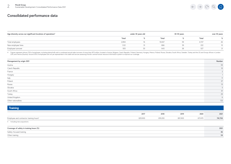**Mondi Group** 2 Sustainable Development Consolidated Performance Data 2021



#### **Consolidated performance data**

| Age diversity across our significant locations of operations <sup>4</sup> |       | under 30 years old |        | $30-50$ years |       | over 50 years |  |  |
|---------------------------------------------------------------------------|-------|--------------------|--------|---------------|-------|---------------|--|--|
|                                                                           | Total |                    | Total  |               | Total |               |  |  |
| Total employees                                                           | 2,894 |                    | 10,837 |               | 4.727 |               |  |  |
| New employee hires                                                        | 1,122 |                    | 866    |               | 222   |               |  |  |
| Employee turnover                                                         | 505   |                    | 643    |               | 527   |               |  |  |

4 Figures represent almost 70% of employees, including plants/mills with a combined annual sales turnover of more than €70 million, located in Austria, Bulgaria, Czech Republic, Finland, Germany, Hungary, Mexico, Poland,

| Management by origin 2021 | Number |
|---------------------------|--------|
| Austria                   | 59     |
| Czech Republic            | 10     |
| France                    |        |
| Hungary                   |        |
| Italy<br>Poland           | 11     |
|                           | 37     |
| Russia                    | 15     |
| Slovakia                  |        |
| South Africa              | 61     |
| Turkey                    | 29     |
| United Kingdom            | 6      |
| Other nationalities       | 133    |

| Training                                            |         |         |         |         |         |
|-----------------------------------------------------|---------|---------|---------|---------|---------|
|                                                     | 2017    | 2018    | 2019    | 2020    | 2021    |
| Employee and contractor training hours <sup>5</sup> | 829,900 | 819,200 | 801,900 | 617,470 | 741,700 |
| 5 Including new acquisitions                        |         |         |         |         |         |

| Coverage of safety in training hours (%) | 2021 |
|------------------------------------------|------|
| Safety-focused training                  |      |
| Other training                           |      |
|                                          |      |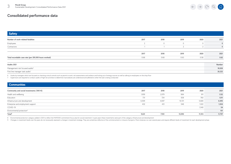$\leftarrow \rightarrow \begin{array}{ccc} \curvearrowright & \curvearrowright & \curvearrowright \end{array}$  $\mathbb{Z}$ 

| <b>Safety</b>                                         |      |             |        |          |             |
|-------------------------------------------------------|------|-------------|--------|----------|-------------|
| Number of work-related fatalities                     | 2017 | 2018        | 2019   | 2020     | 2021        |
| Employees                                             |      | $\mathbf 0$ |        | $\Omega$ | $\mathbf 0$ |
| Contractors                                           |      |             | $\sim$ |          | $\mathbf 0$ |
|                                                       |      |             |        |          |             |
|                                                       | 2017 | 2018        | 2019   | 2020     | 2021        |
| Total recordable case rate (per 200,000 hours worked) | 0.68 | 0.68        | 0.63   | 0.58     | 0.62        |
|                                                       |      |             |        |          |             |
| Audits 2021                                           |      |             |        |          | Number      |
| Management risk focused audits <sup>6</sup>           |      |             |        |          | 18,028      |
| First line manager task audits <sup>7</sup>           |      |             |        |          | 26,222      |
|                                                       |      |             |        |          |             |

6 Audits by managers which are focused on checking critical controls such as permit to work, risk assessments and isolation and locking out of energy sources as well as talking to employees on the shop floor

7 Supervisors are required to conduct audits of high risk activities to determine if procedures are understood and adhered to when the task is being conducted

#### **Communities**

| Community and social investments ('000 $\epsilon$ ) | 2017  | 2018  | 2019   | 2020   | 2021   |
|-----------------------------------------------------|-------|-------|--------|--------|--------|
| Health and wellbeing                                | 1,959 | 2,079 | 984    | 911    | 1,132  |
| Education                                           | 731   | 724   | 838    | 760    | 1,011  |
| Infrastructure and development                      | 6,509 | 4,697 | 10,721 | 5,680  | 8,495  |
| Enterprise and employment support                   | 432   | 431   | 548    | 1,022  | 1,004  |
| COVID-19                                            |       |       |        | 3,140  | 54     |
| Environmental protection <sup>8</sup>               |       |       |        |        | 101    |
| Total <sup>9</sup>                                  | 9,631 | 7,931 | 13,090 | 11,513 | 11,797 |
|                                                     |       |       |        |        |        |

8 Environmental protection category added in 2021 to reflect the MAP2030 commitment focus area for social investment. In past years these investments were part of the category infrastructure and development

9 Changes in investment levels over the years do not necessarily represent a change in investment strategy. They are sometimes reflective of the commencement or closure of projects. Most initiatives run over several years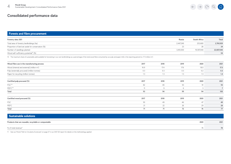#### **Forests and fibre procurement**

| Forestry data 2021                                | Russia    | <b>South Africa</b> | Total      |
|---------------------------------------------------|-----------|---------------------|------------|
| Total area of forestry landholdings (ha)          | 2.447.249 | 253.680             | 2,700,929  |
| Proportion of land set aside for conservation (%) |           | Zŏ                  | 24         |
| Number of seedlings planted                       | 3.410.000 | 19.397.040          | 22,807,040 |
| Wood self-sufficiency potential <sup>10</sup> (%) |           |                     | 54         |

 $\mathbb{Z}$ 

 $\leftarrow \quad \rightarrow$ 

 $\bigcirc$ 

10 The maximum share of sustainable yield available for harvesting in our own landholdings as a percentage of the total wood fibre consumed by our pulp and paper mills in the reporting period (i.e. 17.3 million m3 )

| Wood fibre use in the manufacturing process            | 2017 | 2018 | 2019 | 2020          | 2021 |
|--------------------------------------------------------|------|------|------|---------------|------|
| Wood (internal and external) (million m <sup>3</sup> ) | 16.9 | 17.4 | 17.6 | 18.0          | 17.3 |
| Pulp (externally procured) (million tonnes)            | 0.3  | 0.3  | 0.3  | 0.2           | 0.3  |
| Paper for recycling (million tonnes)                   | 1.3  | 1.3  | 1.3  | 1.3           | 1.4  |
|                                                        |      |      |      |               |      |
| Certified pulp procured (%)                            | 2017 | 2018 | 2019 | 2020          | 2021 |
| $\mathsf{FSC}^{\mathsf{TM}}$                           | 82   | 85   | 93   | 91            | 93   |
| PEFC™                                                  | 11   | 9    | 6    | $\mathcal{R}$ |      |
| Total                                                  | 93   | 94   | 99   | 94            | 100  |
|                                                        |      |      |      |               |      |
| Certified wood procured (%)                            | 2017 | 2018 | 2019 | 2020          | 2021 |
| <b>FSC</b>                                             | 50   | 49   | 46   | 47            | 49   |
| PEFC                                                   | 21   | 22   | 26   | 29            | 28   |
| Total                                                  | 71   | 71   | 72   | 76            | 77   |

| Sustainable solutions                                         |      |
|---------------------------------------------------------------|------|
| Products that are reusable, recyclable or compostable<br>2020 | 2021 |
| % of total revenue <sup>11</sup>                              | 78   |

11 See our Mondi 'Path to Circularity Scorecard' on page 27 in our 2021 SD report for details on the methodology applied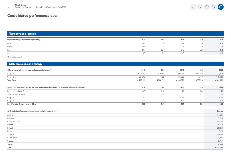#### **Transport and logistic Modes of transport for our supplies12 (%) 2017 2018 2019 2020 2021** Road 59.4 55.0 56.2 57.4 **56.0** Ocean 20.6 22.6 22.3 21.9 **22.5** Rail 19.7 22.2 21.2 20.6 **21.2** Air 0.3 0.2 0.2 0.1 **0.2**

 $\leftarrow \rightarrow \begin{array}{ccc} \curvearrowleft & \curvearrowright & \curvearrowright \\ \curvearrowleft & \curvearrowleft & \curvearrowleft \\ \curvearrowleft & \curvearrowleft & \curvearrowleft \end{array} \right.$ 

12 Based on spend

| <b>GHG emissions and energy</b>                                                                              |           |           |           |           |               |
|--------------------------------------------------------------------------------------------------------------|-----------|-----------|-----------|-----------|---------------|
| CO <sub>2</sub> e emissions from our pulp and paper mills (tonnes)                                           | 2017      | 2018      | 2019      | 2020      | 2021          |
| Scope 1                                                                                                      | 3,777,282 | 3,805,696 | 3,908,247 | 3,529,550 | 3,573,354     |
| Scope 2                                                                                                      | 691,649   | 583,031   | 456,323   | 429,170   | 448,449       |
| Total CO <sub>2</sub> e                                                                                      | 4,468,931 | 4,388,727 | 4,364,570 | 3,958,720 | 4,021,802     |
| Specific CO <sub>2</sub> e emissions from our pulp and paper mills (tonnes per tonne of saleable production) | 2017      | 2018      | 2019      | 2020      | 2021          |
| Production-related Scope 1                                                                                   | 0.45      | 0.47      | 0.49      | 0.44      | 0.43          |
| Sales-related Scope 1                                                                                        | 0.16      | 0.16      | 0.15      | 0.13      | 0.13          |
| Scope 1                                                                                                      | 0.61      | 0.63      | 0.64      | 0.57      | 0.56          |
| Scope 2                                                                                                      | 0.11      | 0.10      | 0.07      | 0.07      | 0.07          |
| Specific total (Scope 1 and 2) CO <sub>2</sub> e                                                             | 0.72      | 0.72      | 0.71      | 0.64      | 0.63          |
| GHG emissions from our pulp and paper mills, by country 2021                                                 |           |           |           |           | <b>Tonnes</b> |
| Austria                                                                                                      |           |           |           |           | 206,815       |
| Bulgaria                                                                                                     |           |           |           |           | 77,764        |
| Czech Republic                                                                                               |           |           |           |           | 423,113       |
| Finland                                                                                                      |           |           |           |           | 119,450       |
| Poland                                                                                                       |           |           |           |           | 216,153       |
| Russia                                                                                                       |           |           |           |           | 1,915,611     |
| Slovakia                                                                                                     |           |           |           |           | 130,316       |
| South Africa                                                                                                 |           |           |           |           | 856,237       |
| Sweden                                                                                                       |           |           |           |           | 21,760        |
| Turkey                                                                                                       |           |           |           |           | 54,583        |
| Total                                                                                                        |           |           |           |           | 4,021,802     |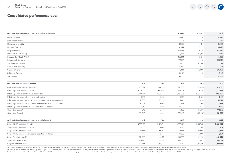| Dynäs (Sweden)                                                         |            |            | 21,760     | $\circ$        | 21,760     |
|------------------------------------------------------------------------|------------|------------|------------|----------------|------------|
| Frantschach (Austria)                                                  |            |            | 46,675     | $\Omega$       | 46,675     |
| Hausmening (Austria)                                                   |            |            | 89,705     | 26,017         | 115,722    |
| Kematen (Austria)                                                      |            |            | 36,644     | 7.773          | 44,418     |
| Kuopio (Finland)                                                       |            |            | 103,726    | 15,725         | 119,450    |
| Merebank (South Africa)                                                |            |            | 162,854    | 161,315        | 324,170    |
| Richards Bay (South Africa)                                            |            |            | 455,914    | 76,154         | 532,068    |
| Ružomberok (Slovakia)                                                  |            |            | 130,316    | $\overline{0}$ | 130,316    |
| Stambolijski (Bulgaria)                                                |            |            | 29,260     | 48,504         | 77,764     |
| Štětí (Czech Republic)                                                 |            |            | 402,490    | 20.623         | 423,113    |
| Świecie (Poland)                                                       |            |            | 145,344    | 70,809         | 216,153    |
| Syktyvkar (Russia)                                                     |            |            | 1,915,611  | $\Omega$       | 1,915,611  |
| Tire (Turkey)                                                          |            |            | 33,055     | 21,529         | 54,583     |
| GHG emissions by activity (tonnes)                                     | 2017       | 2018       | 2019       | 2020           | 2021       |
| Energy sales-related GHG emissions                                     | 1,000,772  | 944,750    | 912,030    | 811,088        | 828,395    |
| Mills Scope 1 excluding energy sales                                   | 2,776,510  | 2,860,946  | 2,996,217  | 2,718,462      | 2,744,959  |
| Mills Scope 1 emissions from fuel combustion                           | 3,614,281  | 3,606,254  | 3,724,295  | 3,390,534      | 3,452,197  |
| Mills Scope 1 emissions from use of carbonates                         | 11,945     | 11,052     | 11,307     | 11,520         | 15,511     |
| Mills Scope 1 emissions from production-related mobile transportation  | 71,388     | 73,236     | 67,661     | 74,139         | 77,922     |
| Mills Scope 1 emissions from landfills and wastewater treatment plants | 67,516     | 94,116     | 72,693     | 45,391         | 19,856     |
| Mills Scope 1 emissions from ozone depleting substances                | 12,152     | 21,039     | 32,290     | 7,966          | 7,867      |
| Converters Scope 1                                                     | 146,845    | 147,493    | 142,490    | 137,470        | 141,973    |
| Converters Scope 2                                                     | 274,845    | 261,855    | 234,515    | 223,067        | 181,806    |
| GHG emissions from our pulp and paper mills (tonnes)                   | 2017       | 2018       | 2019       | 2020           | 2021       |
| Scope 1 GHG emissions from C <sup>13</sup>                             | 3,582,148  | 3,578,512  | 3,690,021  | 3,357,158      | 3,428,244  |
| Scope 1 GHG emissions from CH <sub>13</sub>                            | 12,155     | 12,046     | 12,190     | 12,861         | 12,328     |
| Scope 1 GHG emissions from N <sub>2</sub> O                            | 91,366     | 88,932     | 89,746     | 94,654         | 89,547     |
| Scope 1 GHG emissions from ozone-depleting substances                  | 8,117      | 19,655     | 32,290     | 7,966          | 7,867      |
| Scope 2 market-based <sup>14</sup>                                     | 691,649    | 583,031    | 456,323    | 429,170        | 448,449    |
| Scope 2 location-based <sup>15</sup>                                   | 806,945    | 570,382    | 441,333    | 380,665        | 455,891    |
| <b>Biogenic GHG emissions</b>                                          | 12,954,968 | 12,571,767 | 12,812,150 | 13,518,291     | 12,392,133 |
|                                                                        |            |            |            |                |            |

**GHG emissions from our pulp and paper mills 2021 (tonnes) Scope 1 Scope 2 Total**

 $\rightarrow$ 

 $\bigcirc$ 

 $\mathbb{R}$ 

13 Scope 1 GHG emissions include those from fuel combustion and mobile transportation. Additional Scope 1 GHG emissions in 2021 derive from the operation of landfills and wastewater treatment plants (19.856 tonnes) and the

14 Market-based method: A method to quantify Scope 2 GHG emissions, based on GHG emissions emitted by the generators from which the reporter contractually purchases electricity bundled with instruments, or unbundled instru

15 Location-based method: A method to quantify Scope 2 GHG emissions based on average energy generation emission factors for defined locations, including local, sub-national, or national boundaries (CDP, 'Accounting of Sco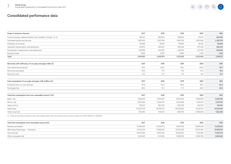# $\leftarrow \rightarrow \begin{array}{ccc} \curvearrowleft & \curvearrowright & \curvearrowright & \curvearrowleft \\ \curvearrowleft & \curvearrowleft & \curvearrowleft & \curvearrowleft \\ \curvearrowleft & \curvearrowleft & \curvearrowleft & \curvearrowleft \end{array} \right \end{array}$

# **Consolidated performance data**

| Scope 3 emissions (tonnes)                                                                                                                | 2017<br>$\ddot{\phantom{0}}$ | 2018       | 2019       | 2020       | 2021       |
|-------------------------------------------------------------------------------------------------------------------------------------------|------------------------------|------------|------------|------------|------------|
| Fuel and energy-related activities (not included in Scope 1 or 2)                                                                         | 385,613                      | 589,834    | 628,002    | 613,511    | 622,604    |
| Purchased goods and services                                                                                                              | 1,867,405                    | 1,853,798  | 1,840,745  | 1,853,696  | 2,325,578  |
| Employee commuting                                                                                                                        | 49,469                       | 49,851     | 48,984     | 49,412     | 28,900     |
| Upstream transportation and distribution                                                                                                  | 447,613                      | 483,037    | 465,425    | 477,332    | 364,047    |
| Downstream transportation and distribution                                                                                                | 259.998                      | 253,453    | 256,647    | 257,363    | 206,465    |
| <b>Business travel</b>                                                                                                                    | 3,904                        | 11,007     | 11,850     | 2,145      | 1,616      |
| Total                                                                                                                                     | 3,014,002                    | 3,240,979  | 3,251,652  | 3,253,460  | 3,549,211  |
| Electricity self-sufficiency of our pulp and paper mills (%)                                                                              | 2017                         | 2018       | 2019       | 2020       | 2021       |
| Own electricity produced                                                                                                                  | 95.6                         | 100.2      | 102.1      | 103.8      | 98.7       |
| Electricity purchased                                                                                                                     | 20.9                         | 17.5       | 14.9       | 14.4       | 18.0       |
| Electricity sold                                                                                                                          | 16.5                         | 17.7       | 17.0       | 18.1       | 16.7       |
| Fuel consumption of our pulp and paper mills (million GJ)                                                                                 | 2017                         | 2018       | 2019       | 2020       | 2021       |
| Produced from our own biomass                                                                                                             | 87.8                         | 84.3       | 86.4       | 90.5       | 82.5       |
| Purchased fuel                                                                                                                            | 68.6                         | 70.3       | 71.3       | 68.3       | 68.6       |
| Total fuel consumption from non-renewable sources <sup>16</sup> (GJ)                                                                      | 2017                         | 2018       | 2019       | 2020       | 2021       |
| Black coal                                                                                                                                | 9,066,155                    | 7,044,927  | 6,923,940  | 5,168,909  | 5,549,786  |
| Brown coal                                                                                                                                | 2,653,284                    | 2,836,275  | 3,254,698  | 3,143,412  | 3,150,767  |
| Heavy fuel oil                                                                                                                            | 729,227                      | 863,764    | 1,209,792  | 614,073    | 951,951    |
| Natural gas                                                                                                                               | 44,025,729                   | 46,785,317 | 46,035,922 | 42,421,112 | 44,129,461 |
| Other fossil fuel                                                                                                                         | 700,496                      | 748,527    | 1,687,075  | 1,008,400  | 1,616,369  |
| 16 Fuels are reported according to their lower heating value (LHV); the emissions factor source is taken from UBPV (BGBI II Nr. 339/2007) |                              |            |            |            |            |
| Total fuel consumption from renewable sources (GJ)                                                                                        | 2017                         | 2018       | 2019       | 2020       | 2021       |
|                                                                                                                                           |                              |            |            |            |            |

| Total fuel consumption from renewable sources (GJ) | 2017       | 2018       | 2019       | 2020       | 2021       |
|----------------------------------------------------|------------|------------|------------|------------|------------|
| Biomass purchased                                  | 13,360,345 | 13,939,473 | 14,087,189 | 15,649,478 | 15,109,521 |
| Black liquor/base liquor - thickened               | 74,032,219 | 71,468,423 | 72,833,265 | 75,573,074 | 67,899,197 |
| Own biomass                                        | 10,674,486 | 9,872,304  | 10,029,633 | 11,132,981 | 11,067,273 |
| Other renewable fuel                               | 3.414.622  | 3,312,916  | 3,858,592  | 4,086,796  | 3,804,661  |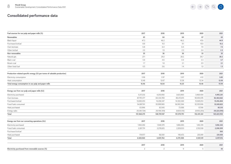| Fuel sources for our pulp and paper mills (%)                            | 2017         | 2018           | 2019        | 2020        | 2021           |
|--------------------------------------------------------------------------|--------------|----------------|-------------|-------------|----------------|
| <b>Renewables</b>                                                        | 65           | 64             | 64          | 67          | 65             |
| Black liquor                                                             | 47.3         | 46.2           | 46.2        | 47.6        | 44.9           |
| Purchased biofuel                                                        | 8.8          | 9.2            | 9.1         | 10.0        | 10.2           |
| Own biomass                                                              | 6.8          | 6.4            | 6.4         | 7.0         | 7.3            |
| Other biofuel                                                            | 2.0          | 1.9            | 2.3         | 2.4         | 2.3            |
| Non-renewables                                                           | 35           | 36             | 36          | 33          | 35             |
| Natural gas                                                              | 27.1         | 29.2           | 28.2        | 26.7        | 28.2           |
| Black coal                                                               | 5.8          | 4.6            | 4.4         | 3.3         | 3.7            |
| Brown coal                                                               | 1.7          | 1.8            | 2.1         | 2.0         | 2.1            |
| Other fossil fuel                                                        | 0.5          | 0.6            | 1.4         | 1.0         | 1.3            |
|                                                                          |              |                |             |             |                |
| Production-related specific energy (GJ per tonne of saleable production) | 2017         | 2018           | 2019        | 2020        | 2021           |
| Electricity consumption                                                  | 3.98         | 3.97           | 3.97        | 4.12        | 3.85           |
| Heat consumption                                                         | 12.48        | 12.67          | 12.28       | 12.34       | 12.09          |
| Total energy consumption in our pulp and paper mills                     | 16.46        | 16.64          | 16.25       | 16.46       | 15.94          |
| Energy use from our pulp and paper mills (GJ)                            | 2017         | 2018           | 2019        | 2020        | 2021           |
| Electricity purchased                                                    | 5,217,232    | 4,250,850      | 3,623,860   | 3,468,404   | 4,492,261      |
| Own biomass                                                              | 87,791,377   | 84,334,769     | 86,413,615  | 90,493,076  | 82,463,662     |
| Purchased biofuel                                                        | 13,690,293   | 14,258,347     | 14,393,349  | 15,949,253  | 15,416,484     |
| Fossil fuels consumed                                                    | 54,887,101   | 55,999,985     | 56,902,394  | 52,355,906  | 53,189,825     |
| Heat purchased                                                           | 63,996       | 83,545         | 73,088      | 67,916      | 85,313         |
| Energy sales                                                             | (10,081,724) | (10, 198, 309) | (9,835,515) | (9,903,293) | (10, 223, 595) |
| Total                                                                    | 151,568,275  | 148,729,187    | 151,570,791 | 152,431,261 | 145,423,950    |
|                                                                          |              |                |             |             |                |
| Energy use from our converting operations (GJ)                           | 2017         | 2018           | 2019        | 2020        | 2021           |
| Electricity purchased                                                    | 1,965,292    | 1,948,379      | 1,866,083   | 1,812,319   | 1,856,343      |
| Fossil fuels consumed                                                    | 2,287,791    | 2,278,825      | 2,209,033   | 2,152,938   | 2,208,509      |
| Purchased biofuel                                                        |              |                |             |             | 505            |
| Heat purchased                                                           | 174,977      | 182,561        | 195,472     | 203,891     | 231,658        |
| Total                                                                    | 4,428,060    | 4,409,764      | 4,270,588   | 4,169,149   | 4,297,016      |
|                                                                          | 2017         | 2018           | 2019        | 2020        | 2021           |
| Electricity purchased from renewable sources (%)                         | 2            | $\overline{2}$ | 9           | 5           | 43             |
|                                                                          |              |                |             |             |                |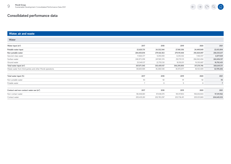#### **Water, air and waste**

| Water                                                     |             |             |             |             |                |
|-----------------------------------------------------------|-------------|-------------|-------------|-------------|----------------|
| Water input (m <sup>3</sup> )                             | 2017        | 2018        | 2019        | 2020        | 2021           |
| Potable water input                                       | 22,620,731  | 24,332,544  | 27,180,356  | 24,449,849  | 22,613,894     |
| Non-potable water                                         | 284,450,814 | 279,126,563 | 279,119,444 | 292,820,897 | 286,035,617    |
| Second-class water                                        | 11,928,377  | 9,290,059   | 8,218,302   | 7,402,517   | 6,877,029      |
| Surface water                                             | 246,973,299 | 247,081,374 | 252,751,131 | 266,062,494 | 260,456,157    |
| Ground water                                              | 25,549,137  | 22,755,130  | 18,150,011  | 19,355,887  | 18,702,431     |
| Total water input (m <sup>3</sup> )                       | 307,071,545 | 303,459,107 | 306,299,800 | 317,270,746 | 308,649,511    |
| Waste water from third parties and other Mondi operations | 38,669,589  | 36,288,548  | 36,972,077  | 36,163,409  | 32,976,656     |
| Total water input (%)                                     | 2017        | 2018        | 2019        | 2020        | 2021           |
| Non-potable water                                         | 93          | 92          | 91          | 92          | 93             |
| Potable water                                             |             | 8           | 9           | 8           | $\overline{7}$ |
|                                                           |             |             |             |             |                |
| Contact and non-contact water use (m <sup>3</sup> )       | 2017        | 2018        | 2019        | 2020        | 2021           |
| Non-contact water                                         | 98,448,861  | 97,438,070  | 99,317,853  | 108,202,843 | 97,319,962     |
| Contact water                                             | 205,435,261 | 202,783,297 | 203,736,411 | 205,031,869 | 204,645,033    |

 $\leftarrow \rightarrow \begin{array}{ccc} \curvearrowleft & \curvearrowright & \curvearrowright & \curvearrowleft \\ \curvearrowleft & \curvearrowleft & \curvearrowleft & \curvearrowleft \\ \curvearrowleft & \curvearrowleft & \curvearrowleft & \curvearrowleft \end{array} \right \end{array}$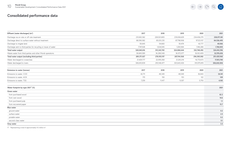# $\leftarrow \rightarrow \begin{array}{ccc} \circ & \circ & \circ & \circ \end{array}$

### **Consolidated performance data**

| Effluent (water discharges) (m <sup>3</sup> )                   | 2017        | 2018        | 2019        | 2020        | 2021        |
|-----------------------------------------------------------------|-------------|-------------|-------------|-------------|-------------|
| Discharge via on-site or off-site treatment                     | 231,652,362 | 228,523,805 | 235,836,629 | 234,436,270 | 238,071,181 |
| Discharge direct to surface water without treatment             | 88,590,582  | 85,031,235  | 87,798,958  | 97,123,157  | 84,536,495  |
| Discharge to irrigate land                                      | 50.645      | 54,660      | 50.474      | 42,777      | 40,066      |
| Discharge sent to third parties for recycling or reuse of water | 7,747,028   | 1,634,045   | 1,200,584   | 1,146,288   | 1,768,855   |
| Total water output                                              | 328,040,616 | 315,243,745 | 324,886,644 | 332,748,492 | 324,416,596 |
| Waste water from third parties and other Mondi operations       | 38,669,589  | 36,288,548  | 36,972,077  | 36,163,409  | 32,976,656  |
| Total water output (excluding third parties)                    | 289,371,027 | 278,955,197 | 287,914,568 | 296,585,082 | 291,439,940 |
| Water discharged to ocean/sea                                   | 21,429,777  | 22,095,268  | 21,243,214  | 16,772,673  | 17,813,740  |
| Water discharged to rivers                                      | 306,610,839 | 293,148,477 | 303,643,430 | 315,975,819 | 306,602,856 |
| Emissions to water (tonnes)                                     | 2017        | 2018        | 2019        | 2020        | 2021        |
| Emissions to water, COD                                         | 42,711      | 48,349      | 48,549      | 36,843      | 34,141      |
| Emissions to water, AOX                                         | 170         | 150         | 153         | 122         | 109         |
| Emissions to water, TSS                                         | 7,259       | 11,417      | 9,307       | 5,793       | 4,165       |
| Water footprint by type 2021 <sup>17</sup> (%)                  |             |             |             |             | 2021        |
| Green water                                                     |             |             |             |             |             |
| from purchased wood                                             |             |             |             |             | 62.2        |
| from own wood                                                   |             |             |             |             | 14.6        |
| from purchased pulp                                             |             |             |             |             | 1.1         |
| from recovered paper                                            |             |             |             |             | 15.7        |
| <b>Blue water</b>                                               |             |             |             |             |             |
| ground water                                                    |             |             |             |             | 0.2         |
| surface water                                                   |             |             |             |             | 2.5         |
| potable water                                                   |             |             |             |             | 0.2         |
| second-class water                                              |             |             |             |             | 0.1         |
| Grey water                                                      |             |             |             |             | 3.3         |

17 Representing a total of approximately 10.2 billion m3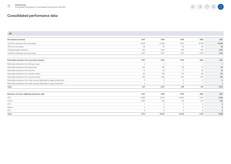| Air emissions (tonnes)                                                   | 2017     | 2018           | 2019     | 2020         | 2021           |
|--------------------------------------------------------------------------|----------|----------------|----------|--------------|----------------|
| Total NO <sub>x</sub> emissions from processes                           | 11.048   | 10,398         | 11,031   | 10,918       | 10,696         |
| TRS from processes                                                       | 56       | 55             | 44       | 48           | 48             |
| Total particulate emissions                                              | 921      | 1,023          | 928      | 961          | 1,003          |
| Total SO <sub>2</sub> emissions from processes                           | 1,447    | 1,567          | 1,276    | 1,059        | 1,242          |
| Particulate emissions from processes (tonnes)                            | 2017     | 2018           | 2019     | 2020         | 2021           |
| Particulate emissions from drying of pulp                                | 2        | $\overline{2}$ |          |              | $\overline{1}$ |
| Particulate emissions from bark boiler                                   | 165      | 140            | 105      | 72           | 48             |
| Particulate emissions from lime kiln                                     | 79       | 65             | 71       | 90           | 81             |
| Particulate emissions from auxiliary boilers                             | 161      | 158            | 157      | 126          | 110            |
| Particulate emissions from recovery boiler                               | 503      | 655            | 593      | 670          | 762            |
| Particulate emissions from other sources (allocated to paper production) | 11       | $\circ$        | $\circ$  | $\mathbf{0}$ | $\mathbf 0$    |
| Particulate emissions from other sources (allocated to pulp production)  | 2        | $\overline{2}$ | $\Omega$ |              |                |
| Total                                                                    | 921      | 1,023          | 928      | 961          | 1,003          |
| Emissions of ozone-depleting substances (kg)                             | 2017     | 2018           | 2019     | 2020         | 2021           |
| <b>HFC</b>                                                               | 4.289    | 10.101         | 15.949   | 3.917        | 3,482          |
| <b>HCFC</b>                                                              | 1,420    | 740            | 413      | 274          | 426            |
| <b>CFC</b>                                                               |          | $\mathbf 0$    | $\circ$  | $\mathbf 0$  | $\mathbf 0$    |
| Halons                                                                   | $\Omega$ | $\circ$        | $\Omega$ | $\Omega$     | $\mathbf{0}$   |
| PFC                                                                      | $\cap$   | $\Omega$       | $\Omega$ | $\Omega$     | $\Omega$       |
| Total                                                                    | 5.710    | 10,841         | 16,361   | 4,191        | 3,908          |

 $\begin{picture}(120,15) \put(0,0){\dashbox{0.5}(120,0){ }} \put(120,15){\circle{10}} \put(120,15){\circle{10}} \put(120,15){\circle{10}} \put(120,15){\circle{10}} \put(120,15){\circle{10}} \put(120,15){\circle{10}} \put(120,15){\circle{10}} \put(120,15){\circle{10}} \put(120,15){\circle{10}} \put(120,15){\circle{10}} \put(120,15){\circle{10}} \put(120,15){$